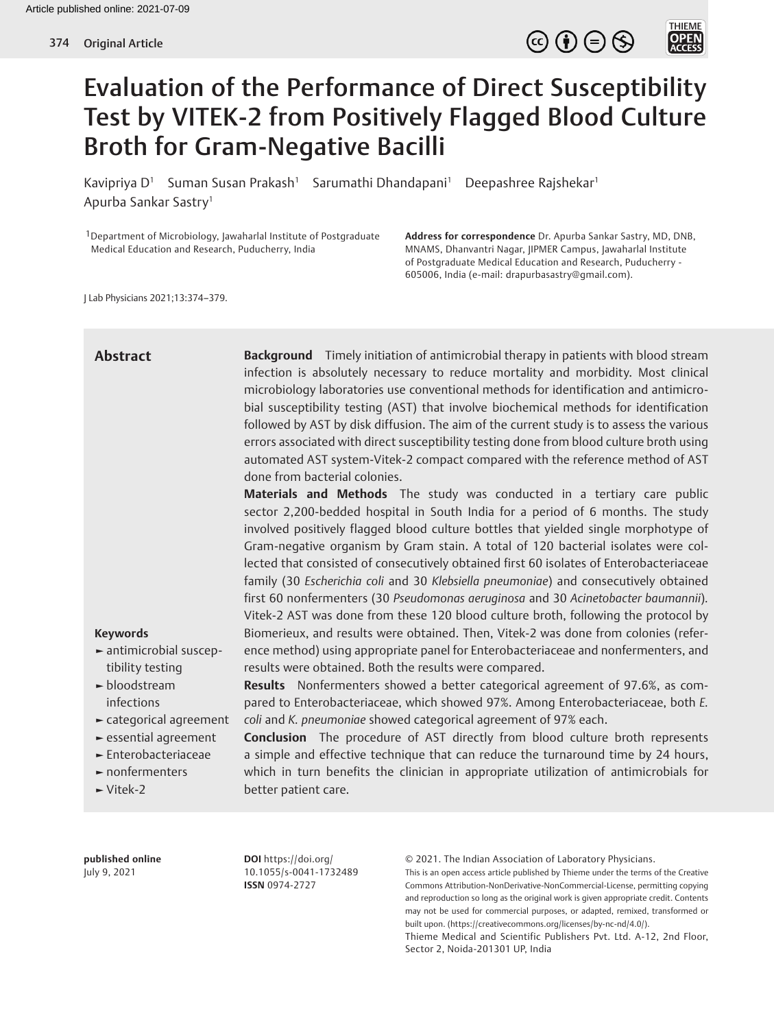



# Evaluation of the Performance of Direct Susceptibility Test by VITEK-2 from Positively Flagged Blood Culture Broth for Gram-Negative Bacilli

Kavipriya D<sup>1</sup> Suman Susan Prakash<sup>1</sup> Sarumathi Dhandapani<sup>1</sup> Deepashree Rajshekar<sup>1</sup> Apurba Sankar Sastry1

<sup>1</sup>Department of Microbiology, Jawaharlal Institute of Postgraduate Medical Education and Research, Puducherry, India

**Address for correspondence** Dr. Apurba Sankar Sastry, MD, DNB, MNAMS, Dhanvantri Nagar, JIPMER Campus, Jawaharlal Institute of Postgraduate Medical Education and Research, Puducherry - 605006, India (e-mail: drapurbasastry@gmail.com).

J Lab Physicians 2021;13:374–379.

## **Background** Timely initiation of antimicrobial therapy in patients with blood stream infection is absolutely necessary to reduce mortality and morbidity. Most clinical microbiology laboratories use conventional methods for identification and antimicrobial susceptibility testing (AST) that involve biochemical methods for identification followed by AST by disk diffusion. The aim of the current study is to assess the various errors associated with direct susceptibility testing done from blood culture broth using automated AST system-Vitek-2 compact compared with the reference method of AST done from bacterial colonies. **Materials and Methods** The study was conducted in a tertiary care public **Abstract**

sector 2,200-bedded hospital in South India for a period of 6 months. The study involved positively flagged blood culture bottles that yielded single morphotype of Gram-negative organism by Gram stain. A total of 120 bacterial isolates were collected that consisted of consecutively obtained first 60 isolates of Enterobacteriaceae family (30 *Escherichia coli* and 30 *Klebsiella pneumoniae*) and consecutively obtained first 60 nonfermenters (30 *Pseudomonas aeruginosa* and 30 *Acinetobacter baumannii*)*.* Vitek-2 AST was done from these 120 blood culture broth, following the protocol by Biomerieux, and results were obtained. Then, Vitek-2 was done from colonies (reference method) using appropriate panel for Enterobacteriaceae and nonfermenters, and results were obtained. Both the results were compared.

**►** antimicrobial susceptibility testing

**Keywords**

- **►** bloodstream infections
- **►** categorical agreement
- **►** essential agreement
- **►** Enterobacteriaceae
- **►** nonfermenters
- **►** Vitek-2

**Conclusion** The procedure of AST directly from blood culture broth represents a simple and effective technique that can reduce the turnaround time by 24 hours, which in turn benefits the clinician in appropriate utilization of antimicrobials for better patient care.

**Results** Nonfermenters showed a better categorical agreement of 97.6%, as compared to Enterobacteriaceae, which showed 97%. Among Enterobacteriaceae, both *E.* 

*coli* and *K. pneumoniae* showed categorical agreement of 97% each.

**published online** July 9, 2021

**DOI** https://doi.org/ 10.1055/s-0041-1732489 **ISSN** 0974-2727

© 2021. The Indian Association of Laboratory Physicians.

This is an open access article published by Thieme under the terms of the Creative Commons Attribution-NonDerivative-NonCommercial-License, permitting copying and reproduction so long as the original work is given appropriate credit. Contents may not be used for commercial purposes, or adapted, remixed, transformed or built upon. (https://creativecommons.org/licenses/by-nc-nd/4.0/).

Thieme Medical and Scientific Publishers Pvt. Ltd. A-12, 2nd Floor, Sector 2, Noida-201301 UP, India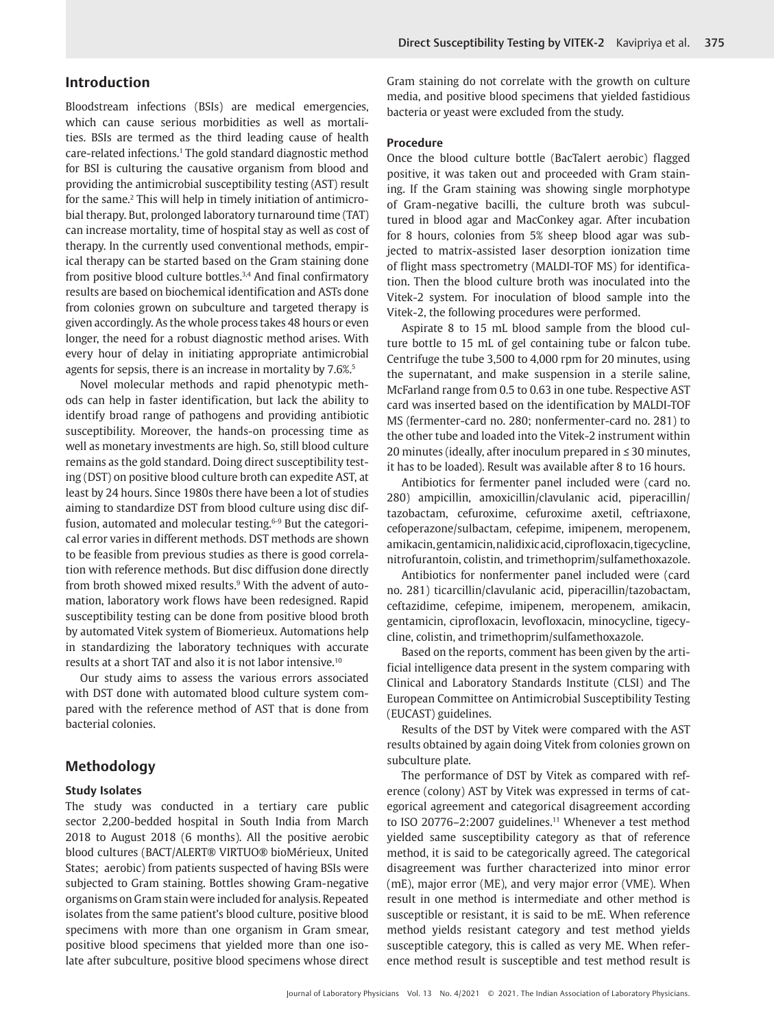Bloodstream infections (BSIs) are medical emergencies, which can cause serious morbidities as well as mortalities. BSIs are termed as the third leading cause of health care-related infections.<sup>1</sup> The gold standard diagnostic method for BSI is culturing the causative organism from blood and providing the antimicrobial susceptibility testing (AST) result for the same.<sup>2</sup> This will help in timely initiation of antimicrobial therapy. But, prolonged laboratory turnaround time (TAT) can increase mortality, time of hospital stay as well as cost of therapy. In the currently used conventional methods, empirical therapy can be started based on the Gram staining done from positive blood culture bottles.<sup>3,4</sup> And final confirmatory results are based on biochemical identification and ASTs done from colonies grown on subculture and targeted therapy is given accordingly. As the whole process takes 48 hours or even longer, the need for a robust diagnostic method arises. With every hour of delay in initiating appropriate antimicrobial agents for sepsis, there is an increase in mortality by 7.6%.<sup>5</sup>

Novel molecular methods and rapid phenotypic methods can help in faster identification, but lack the ability to identify broad range of pathogens and providing antibiotic susceptibility. Moreover, the hands-on processing time as well as monetary investments are high. So, still blood culture remains as the gold standard. Doing direct susceptibility testing (DST) on positive blood culture broth can expedite AST, at least by 24 hours. Since 1980s there have been a lot of studies aiming to standardize DST from blood culture using disc diffusion, automated and molecular testing.<sup>6-9</sup> But the categorical error varies in different methods. DST methods are shown to be feasible from previous studies as there is good correlation with reference methods. But disc diffusion done directly from broth showed mixed results.<sup>9</sup> With the advent of automation, laboratory work flows have been redesigned. Rapid susceptibility testing can be done from positive blood broth by automated Vitek system of Biomerieux. Automations help in standardizing the laboratory techniques with accurate results at a short TAT and also it is not labor intensive.10

Our study aims to assess the various errors associated with DST done with automated blood culture system compared with the reference method of AST that is done from bacterial colonies.

## **Methodology**

#### **Study Isolates**

The study was conducted in a tertiary care public sector 2,200-bedded hospital in South India from March 2018 to August 2018 (6 months). All the positive aerobic blood cultures (BACT/ALERT® VIRTUO® bioMérieux, United States; aerobic) from patients suspected of having BSIs were subjected to Gram staining. Bottles showing Gram-negative organisms on Gram stain were included for analysis. Repeated isolates from the same patient's blood culture, positive blood specimens with more than one organism in Gram smear, positive blood specimens that yielded more than one isolate after subculture, positive blood specimens whose direct Gram staining do not correlate with the growth on culture media, and positive blood specimens that yielded fastidious bacteria or yeast were excluded from the study.

#### **Procedure**

Once the blood culture bottle (BacTalert aerobic) flagged positive, it was taken out and proceeded with Gram staining. If the Gram staining was showing single morphotype of Gram-negative bacilli, the culture broth was subcultured in blood agar and MacConkey agar. After incubation for 8 hours, colonies from 5% sheep blood agar was subjected to matrix-assisted laser desorption ionization time of flight mass spectrometry (MALDI-TOF MS) for identification. Then the blood culture broth was inoculated into the Vitek-2 system. For inoculation of blood sample into the Vitek-2, the following procedures were performed.

Aspirate 8 to 15 mL blood sample from the blood culture bottle to 15 mL of gel containing tube or falcon tube. Centrifuge the tube 3,500 to 4,000 rpm for 20 minutes, using the supernatant, and make suspension in a sterile saline, McFarland range from 0.5 to 0.63 in one tube. Respective AST card was inserted based on the identification by MALDI-TOF MS (fermenter-card no. 280; nonfermenter-card no. 281) to the other tube and loaded into the Vitek-2 instrument within 20 minutes (ideally, after inoculum prepared in ≤ 30 minutes, it has to be loaded). Result was available after 8 to 16 hours.

Antibiotics for fermenter panel included were (card no. 280) ampicillin, amoxicillin/clavulanic acid, piperacillin/ tazobactam, cefuroxime, cefuroxime axetil, ceftriaxone, cefoperazone/sulbactam, cefepime, imipenem, meropenem, amikacin, gentamicin, nalidixic acid, ciprofloxacin, tigecycline, nitrofurantoin, colistin, and trimethoprim/sulfamethoxazole.

Antibiotics for nonfermenter panel included were (card no. 281) ticarcillin/clavulanic acid, piperacillin/tazobactam, ceftazidime, cefepime, imipenem, meropenem, amikacin, gentamicin, ciprofloxacin, levofloxacin, minocycline, tigecycline, colistin, and trimethoprim/sulfamethoxazole.

Based on the reports, comment has been given by the artificial intelligence data present in the system comparing with Clinical and Laboratory Standards Institute (CLSI) and The European Committee on Antimicrobial Susceptibility Testing (EUCAST) guidelines.

Results of the DST by Vitek were compared with the AST results obtained by again doing Vitek from colonies grown on subculture plate.

The performance of DST by Vitek as compared with reference (colony) AST by Vitek was expressed in terms of categorical agreement and categorical disagreement according to ISO 20776–2:2007 guidelines.<sup>11</sup> Whenever a test method yielded same susceptibility category as that of reference method, it is said to be categorically agreed. The categorical disagreement was further characterized into minor error (mE), major error (ME), and very major error (VME). When result in one method is intermediate and other method is susceptible or resistant, it is said to be mE. When reference method yields resistant category and test method yields susceptible category, this is called as very ME. When reference method result is susceptible and test method result is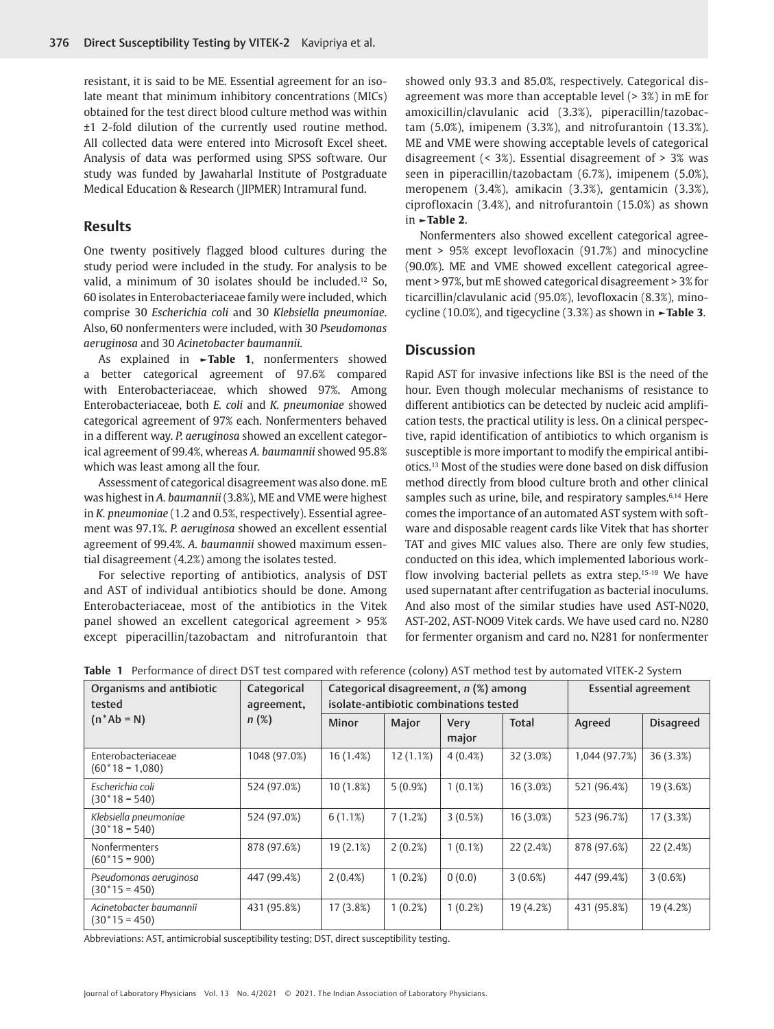resistant, it is said to be ME. Essential agreement for an isolate meant that minimum inhibitory concentrations (MICs) obtained for the test direct blood culture method was within ±1 2-fold dilution of the currently used routine method. All collected data were entered into Microsoft Excel sheet. Analysis of data was performed using SPSS software. Our study was funded by Jawaharlal Institute of Postgraduate Medical Education & Research (JIPMER) Intramural fund.

#### **Results**

One twenty positively flagged blood cultures during the study period were included in the study. For analysis to be valid, a minimum of 30 isolates should be included.12 So, 60 isolates in Enterobacteriaceae family were included, which comprise 30 *Escherichia coli* and 30 *Klebsiella pneumoniae*. Also, 60 nonfermenters were included, with 30 *Pseudomonas aeruginosa* and 30 *Acinetobacter baumannii.*

As explained in **►Table 1**, nonfermenters showed a better categorical agreement of 97.6% compared with Enterobacteriaceae, which showed 97%. Among Enterobacteriaceae, both *E. coli* and *K. pneumoniae* showed categorical agreement of 97% each. Nonfermenters behaved in a different way. *P. aeruginosa* showed an excellent categorical agreement of 99.4%, whereas *A. baumannii* showed 95.8% which was least among all the four.

Assessment of categorical disagreement was also done. mE was highest in *A. baumannii* (3.8%), ME and VME were highest in *K. pneumoniae* (1.2 and 0.5%, respectively). Essential agreement was 97.1%. *P. aeruginosa* showed an excellent essential agreement of 99.4%. *A. baumannii* showed maximum essential disagreement (4.2%) among the isolates tested.

For selective reporting of antibiotics, analysis of DST and AST of individual antibiotics should be done. Among Enterobacteriaceae, most of the antibiotics in the Vitek panel showed an excellent categorical agreement > 95% except piperacillin/tazobactam and nitrofurantoin that

showed only 93.3 and 85.0%, respectively. Categorical disagreement was more than acceptable level (> 3%) in mE for amoxicillin/clavulanic acid (3.3%), piperacillin/tazobactam (5.0%), imipenem (3.3%), and nitrofurantoin (13.3%). ME and VME were showing acceptable levels of categorical disagreement (< 3%). Essential disagreement of > 3% was seen in piperacillin/tazobactam (6.7%), imipenem (5.0%), meropenem (3.4%), amikacin (3.3%), gentamicin (3.3%), ciprofloxacin (3.4%), and nitrofurantoin (15.0%) as shown in **►Table 2**.

Nonfermenters also showed excellent categorical agreement > 95% except levofloxacin (91.7%) and minocycline (90.0%). ME and VME showed excellent categorical agreement > 97%, but mE showed categorical disagreement > 3% for ticarcillin/clavulanic acid (95.0%), levofloxacin (8.3%), minocycline (10.0%), and tigecycline (3.3%) as shown in **►Table 3**.

### **Discussion**

Rapid AST for invasive infections like BSI is the need of the hour. Even though molecular mechanisms of resistance to different antibiotics can be detected by nucleic acid amplification tests, the practical utility is less. On a clinical perspective, rapid identification of antibiotics to which organism is susceptible is more important to modify the empirical antibiotics.13 Most of the studies were done based on disk diffusion method directly from blood culture broth and other clinical samples such as urine, bile, and respiratory samples.<sup>6,14</sup> Here comes the importance of an automated AST system with software and disposable reagent cards like Vitek that has shorter TAT and gives MIC values also. There are only few studies, conducted on this idea, which implemented laborious workflow involving bacterial pellets as extra step.<sup>15-19</sup> We have used supernatant after centrifugation as bacterial inoculums. And also most of the similar studies have used AST-N020, AST-202, AST-NO09 Vitek cards. We have used card no. N280 for fermenter organism and card no. N281 for nonfermenter

| Organisms and antibiotic<br>tested         | Categorical<br>agreement,<br>$n(\%)$ | Categorical disagreement, n (%) among<br>isolate-antibiotic combinations tested |              |               |              | <b>Essential agreement</b> |                  |
|--------------------------------------------|--------------------------------------|---------------------------------------------------------------------------------|--------------|---------------|--------------|----------------------------|------------------|
| $(n^*Ab = N)$                              |                                      | <b>Minor</b>                                                                    | <b>Major</b> | Very<br>major | <b>Total</b> | Agreed                     | <b>Disagreed</b> |
| Enterobacteriaceae<br>$(60*18=1,080)$      | 1048 (97.0%)                         | 16 (1.4%)                                                                       | 12(1.1%)     | $4(0.4\%)$    | 32(3.0%)     | 1,044 (97.7%)              | 36 (3.3%)        |
| Escherichia coli<br>$(30*18=540)$          | 524 (97.0%)                          | $10(1.8\%)$                                                                     | $5(0.9\%)$   | $1(0.1\%)$    | $16(3.0\%)$  | 521 (96.4%)                | 19 (3.6%)        |
| Klebsiella pneumoniae<br>$(30*18=540)$     | 524 (97.0%)                          | 6(1.1%)                                                                         | 7(1.2%)      | 3(0.5%)       | $16(3.0\%)$  | 523 (96.7%)                | 17(3.3%)         |
| Nonfermenters<br>$(60*15=900)$             | 878 (97.6%)                          | 19(2.1%)                                                                        | $2(0.2\%)$   | $1(0.1\%)$    | 22(2.4%)     | 878 (97.6%)                | 22(2.4%)         |
| Pseudomonas aeruginosa<br>$(30*15=450)$    | 447 (99.4%)                          | $2(0.4\%)$                                                                      | $1(0.2\%)$   | 0(0.0)        | $3(0.6\%)$   | 447 (99.4%)                | 3(0.6%)          |
| Acinetobacter baumannii<br>$(30*15 = 450)$ | 431 (95.8%)                          | 17(3.8%)                                                                        | $1(0.2\%)$   | $1(0.2\%)$    | 19 (4.2%)    | 431 (95.8%)                | 19 (4.2%)        |

**Table 1** Performance of direct DST test compared with reference (colony) AST method test by automated VITEK-2 System

Abbreviations: AST, antimicrobial susceptibility testing; DST, direct susceptibility testing.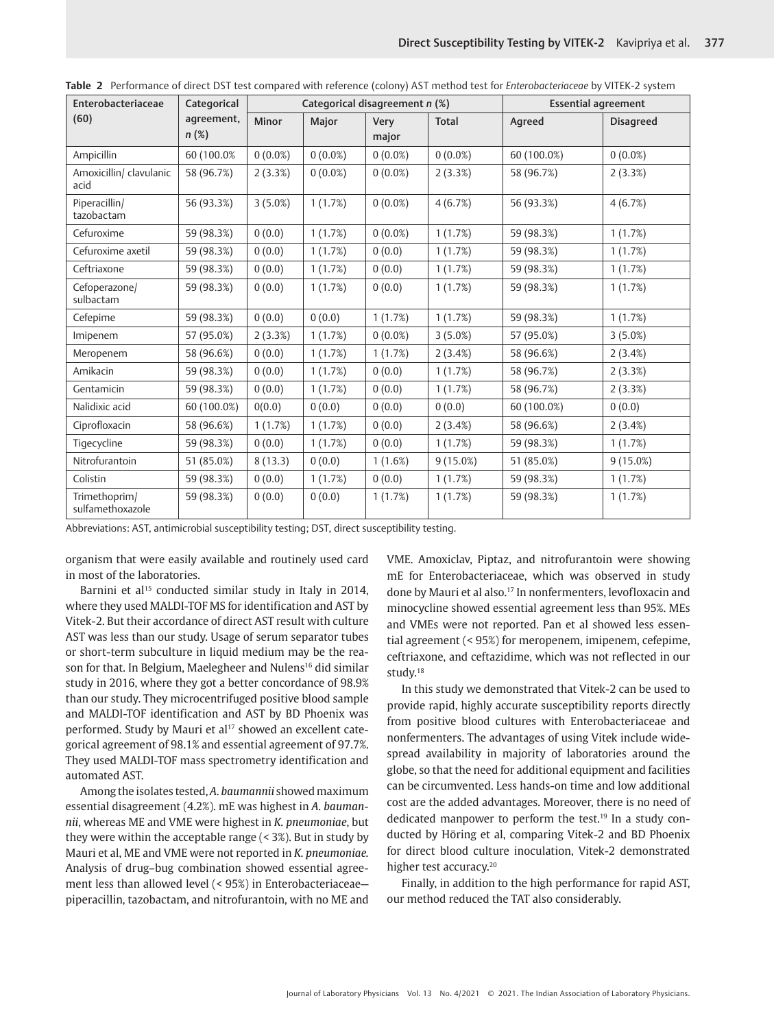| Enterobacteriaceae                | Categorical<br>agreement,<br>$n(\%)$ |              | Categorical disagreement n (%) |                      | <b>Essential agreement</b> |             |                  |
|-----------------------------------|--------------------------------------|--------------|--------------------------------|----------------------|----------------------------|-------------|------------------|
| (60)                              |                                      | <b>Minor</b> | <b>Major</b>                   | <b>Very</b><br>major | <b>Total</b>               | Agreed      | <b>Disagreed</b> |
| Ampicillin                        | 60 (100.0%)                          | $0(0.0\%)$   | $0(0.0\%)$                     | $0(0.0\%)$           | $0(0.0\%)$                 | 60 (100.0%) | $0(0.0\%)$       |
| Amoxicillin/ clavulanic<br>acid   | 58 (96.7%)                           | 2(3.3%)      | $0(0.0\%)$                     | $0(0.0\%)$           | 2(3.3%)                    | 58 (96.7%)  | $2(3.3\%)$       |
| Piperacillin/<br>tazobactam       | 56 (93.3%)                           | 3(5.0%)      | 1(1.7%)                        | $0(0.0\%)$           | 4(6.7%)                    | 56 (93.3%)  | 4(6.7%)          |
| Cefuroxime                        | 59 (98.3%)                           | 0(0.0)       | 1(1.7%)                        | $0(0.0\%)$           | 1(1.7%)                    | 59 (98.3%)  | 1(1.7%)          |
| Cefuroxime axetil                 | 59 (98.3%)                           | 0(0.0)       | 1(1.7%)                        | 0(0.0)               | 1(1.7%)                    | 59 (98.3%)  | 1(1.7%)          |
| Ceftriaxone                       | 59 (98.3%)                           | 0(0.0)       | 1(1.7%)                        | 0(0.0)               | 1(1.7%)                    | 59 (98.3%)  | 1(1.7%)          |
| Cefoperazone/<br>sulbactam        | 59 (98.3%)                           | 0(0.0)       | 1(1.7%)                        | 0(0.0)               | 1(1.7%)                    | 59 (98.3%)  | 1(1.7%)          |
| Cefepime                          | 59 (98.3%)                           | 0(0.0)       | 0(0.0)                         | 1(1.7%)              | 1(1.7%)                    | 59 (98.3%)  | 1(1.7%)          |
| Imipenem                          | 57 (95.0%)                           | 2(3.3%)      | 1(1.7%)                        | $0(0.0\%)$           | 3(5.0%)                    | 57 (95.0%)  | 3(5.0%)          |
| Meropenem                         | 58 (96.6%)                           | 0(0.0)       | 1(1.7%)                        | 1(1.7%)              | 2(3.4%)                    | 58 (96.6%)  | 2(3.4%)          |
| Amikacin                          | 59 (98.3%)                           | 0(0.0)       | 1(1.7%)                        | 0(0.0)               | 1(1.7%)                    | 58 (96.7%)  | 2(3.3%)          |
| Gentamicin                        | 59 (98.3%)                           | 0(0.0)       | 1(1.7%)                        | 0(0.0)               | 1(1.7%)                    | 58 (96.7%)  | 2(3.3%)          |
| Nalidixic acid                    | 60 (100.0%)                          | 0(0.0)       | 0(0.0)                         | 0(0.0)               | 0(0.0)                     | 60 (100.0%) | 0(0.0)           |
| Ciprofloxacin                     | 58 (96.6%)                           | 1(1.7%)      | 1(1.7%)                        | 0(0.0)               | 2(3.4%)                    | 58 (96.6%)  | $2(3.4\%)$       |
| Tigecycline                       | 59 (98.3%)                           | 0(0.0)       | 1(1.7%)                        | 0(0.0)               | 1(1.7%)                    | 59 (98.3%)  | 1(1.7%)          |
| Nitrofurantoin                    | 51 (85.0%)                           | 8(13.3)      | 0(0.0)                         | 1(1.6%)              | 9(15.0%)                   | 51 (85.0%)  | $9(15.0\%)$      |
| Colistin                          | 59 (98.3%)                           | 0(0.0)       | 1(1.7%)                        | 0(0.0)               | 1(1.7%)                    | 59 (98.3%)  | 1(1.7%)          |
| Trimethoprim/<br>sulfamethoxazole | 59 (98.3%)                           | 0(0.0)       | 0(0.0)                         | 1(1.7%)              | 1(1.7%)                    | 59 (98.3%)  | 1(1.7%)          |

**Table 2** Performance of direct DST test compared with reference (colony) AST method test for *Enterobacteriaceae* by VITEK-2 system

Abbreviations: AST, antimicrobial susceptibility testing; DST, direct susceptibility testing.

organism that were easily available and routinely used card in most of the laboratories.

Barnini et al<sup>15</sup> conducted similar study in Italy in 2014, where they used MALDI-TOF MS for identification and AST by Vitek-2. But their accordance of direct AST result with culture AST was less than our study. Usage of serum separator tubes or short-term subculture in liquid medium may be the reason for that. In Belgium, Maelegheer and Nulens<sup>16</sup> did similar study in 2016, where they got a better concordance of 98.9% than our study. They microcentrifuged positive blood sample and MALDI-TOF identification and AST by BD Phoenix was performed. Study by Mauri et al<sup>17</sup> showed an excellent categorical agreement of 98.1% and essential agreement of 97.7%. They used MALDI-TOF mass spectrometry identification and automated AST.

Among the isolates tested, *A. baumannii* showed maximum essential disagreement (4.2%). mE was highest in *A. baumannii*, whereas ME and VME were highest in *K. pneumoniae*, but they were within the acceptable range (< 3%). But in study by Mauri et al, ME and VME were not reported in *K. pneumoniae.* Analysis of drug–bug combination showed essential agreement less than allowed level (< 95%) in Enterobacteriaceae piperacillin, tazobactam, and nitrofurantoin, with no ME and

VME. Amoxiclav, Piptaz, and nitrofurantoin were showing mE for Enterobacteriaceae, which was observed in study done by Mauri et al also.<sup>17</sup> In nonfermenters, levofloxacin and minocycline showed essential agreement less than 95%. MEs and VMEs were not reported. Pan et al showed less essential agreement (< 95%) for meropenem, imipenem, cefepime, ceftriaxone, and ceftazidime, which was not reflected in our study.18

In this study we demonstrated that Vitek-2 can be used to provide rapid, highly accurate susceptibility reports directly from positive blood cultures with Enterobacteriaceae and nonfermenters. The advantages of using Vitek include widespread availability in majority of laboratories around the globe, so that the need for additional equipment and facilities can be circumvented. Less hands-on time and low additional cost are the added advantages. Moreover, there is no need of dedicated manpower to perform the test.<sup>19</sup> In a study conducted by Höring et al, comparing Vitek-2 and BD Phoenix for direct blood culture inoculation, Vitek-2 demonstrated higher test accuracy.<sup>20</sup>

Finally, in addition to the high performance for rapid AST, our method reduced the TAT also considerably.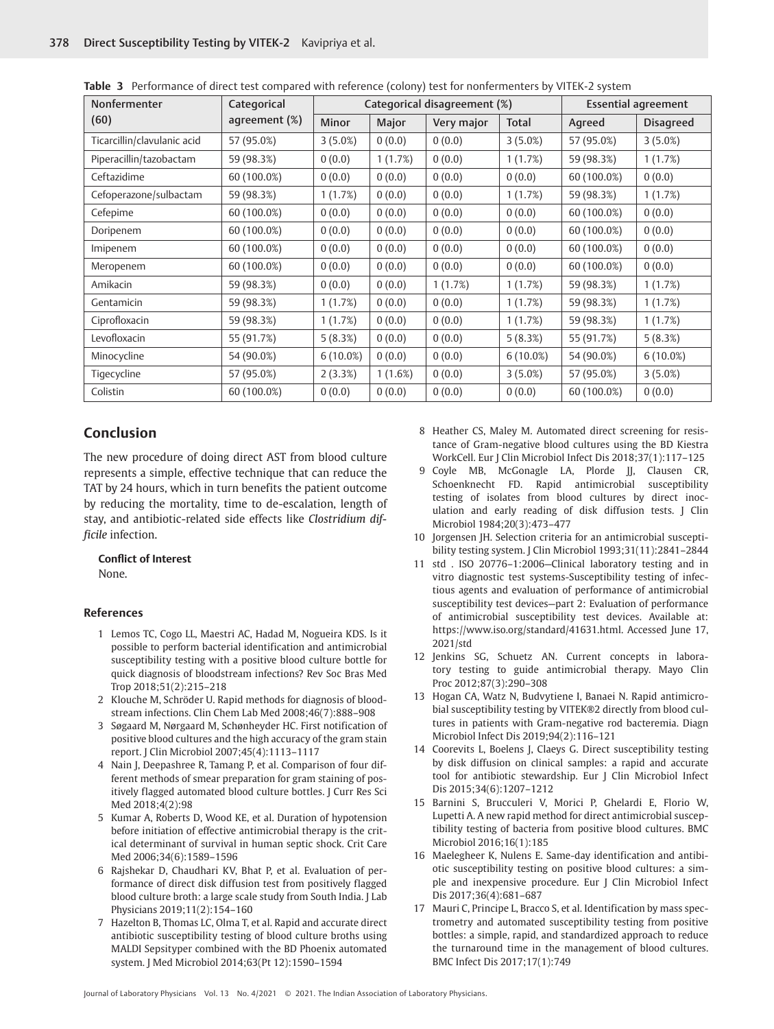| Nonfermenter                | Categorical   | Categorical disagreement (%) |         |            | <b>Essential agreement</b> |             |                  |
|-----------------------------|---------------|------------------------------|---------|------------|----------------------------|-------------|------------------|
| (60)                        | agreement (%) | <b>Minor</b>                 | Major   | Very major | <b>Total</b>               | Agreed      | <b>Disagreed</b> |
| Ticarcillin/clavulanic acid | 57 (95.0%)    | 3(5.0%)                      | 0(0.0)  | 0(0.0)     | 3(5.0%)                    | 57 (95.0%)  | 3(5.0%)          |
| Piperacillin/tazobactam     | 59 (98.3%)    | 0(0.0)                       | 1(1.7%) | 0(0.0)     | 1(1.7%)                    | 59 (98.3%)  | 1(1.7%)          |
| Ceftazidime                 | 60 (100.0%)   | 0(0.0)                       | 0(0.0)  | 0(0.0)     | 0(0.0)                     | 60 (100.0%) | 0(0.0)           |
| Cefoperazone/sulbactam      | 59 (98.3%)    | 1(1.7%)                      | 0(0.0)  | 0(0.0)     | 1(1.7%)                    | 59 (98.3%)  | 1(1.7%)          |
| Cefepime                    | 60 (100.0%)   | 0(0.0)                       | 0(0.0)  | 0(0.0)     | 0(0.0)                     | 60 (100.0%) | 0(0.0)           |
| Doripenem                   | 60 (100.0%)   | 0(0.0)                       | 0(0.0)  | 0(0.0)     | 0(0.0)                     | 60 (100.0%) | 0(0.0)           |
| Imipenem                    | 60 (100.0%)   | 0(0.0)                       | 0(0.0)  | 0(0.0)     | 0(0.0)                     | 60 (100.0%) | 0(0.0)           |
| Meropenem                   | 60 (100.0%)   | 0(0.0)                       | 0(0.0)  | 0(0.0)     | 0(0.0)                     | 60 (100.0%) | 0(0.0)           |
| Amikacin                    | 59 (98.3%)    | 0(0.0)                       | 0(0.0)  | 1(1.7%)    | 1(1.7%)                    | 59 (98.3%)  | 1(1.7%)          |
| Gentamicin                  | 59 (98.3%)    | 1(1.7%)                      | 0(0.0)  | 0(0.0)     | 1(1.7%)                    | 59 (98.3%)  | 1(1.7%)          |
| Ciprofloxacin               | 59 (98.3%)    | 1(1.7%)                      | 0(0.0)  | 0(0.0)     | 1(1.7%)                    | 59 (98.3%)  | 1(1.7%)          |
| Levofloxacin                | 55 (91.7%)    | 5(8.3%)                      | 0(0.0)  | 0(0.0)     | 5(8.3%)                    | 55 (91.7%)  | 5(8.3%)          |
| Minocycline                 | 54 (90.0%)    | $6(10.0\%)$                  | 0(0.0)  | 0(0.0)     | $6(10.0\%)$                | 54 (90.0%)  | 6(10.0%)         |
| Tigecycline                 | 57 (95.0%)    | 2(3.3%)                      | 1(1.6%) | 0(0.0)     | 3(5.0%)                    | 57 (95.0%)  | 3(5.0%)          |
| Colistin                    | 60 (100.0%)   | 0(0.0)                       | 0(0.0)  | 0(0.0)     | 0(0.0)                     | 60 (100.0%) | 0(0.0)           |

**Table 3** Performance of direct test compared with reference (colony) test for nonfermenters by VITEK-2 system

## **Conclusion**

The new procedure of doing direct AST from blood culture represents a simple, effective technique that can reduce the TAT by 24 hours, which in turn benefits the patient outcome by reducing the mortality, time to de-escalation, length of stay, and antibiotic-related side effects like *Clostridium difficile* infection.

#### **Conflict of Interest**

None.

#### **References**

- 1 Lemos TC, Cogo LL, Maestri AC, Hadad M, Nogueira KDS. Is it possible to perform bacterial identification and antimicrobial susceptibility testing with a positive blood culture bottle for quick diagnosis of bloodstream infections? Rev Soc Bras Med Trop 2018;51(2):215–218
- 2 Klouche M, Schröder U. Rapid methods for diagnosis of bloodstream infections. Clin Chem Lab Med 2008;46(7):888–908
- 3 Søgaard M, Nørgaard M, Schønheyder HC. First notification of positive blood cultures and the high accuracy of the gram stain report. J Clin Microbiol 2007;45(4):1113–1117
- 4 Nain J, Deepashree R, Tamang P, et al. Comparison of four different methods of smear preparation for gram staining of positively flagged automated blood culture bottles. J Curr Res Sci Med 2018;4(2):98
- 5 Kumar A, Roberts D, Wood KE, et al. Duration of hypotension before initiation of effective antimicrobial therapy is the critical determinant of survival in human septic shock. Crit Care Med 2006;34(6):1589–1596
- 6 Rajshekar D, Chaudhari KV, Bhat P, et al. Evaluation of performance of direct disk diffusion test from positively flagged blood culture broth: a large scale study from South India. J Lab Physicians 2019;11(2):154–160
- 7 Hazelton B, Thomas LC, Olma T, et al. Rapid and accurate direct antibiotic susceptibility testing of blood culture broths using MALDI Sepsityper combined with the BD Phoenix automated system. J Med Microbiol 2014;63(Pt 12):1590–1594
- 8 Heather CS, Maley M. Automated direct screening for resistance of Gram-negative blood cultures using the BD Kiestra WorkCell. Eur J Clin Microbiol Infect Dis 2018;37(1):117–125
- 9 Coyle MB, McGonagle LA, Plorde JJ, Clausen CR, Schoenknecht FD. Rapid antimicrobial susceptibility testing of isolates from blood cultures by direct inoculation and early reading of disk diffusion tests. J Clin Microbiol 1984;20(3):473–477
- 10 Jorgensen JH. Selection criteria for an antimicrobial susceptibility testing system. J Clin Microbiol 1993;31(11):2841–2844
- 11 std . ISO 20776–1:2006—Clinical laboratory testing and in vitro diagnostic test systems-Susceptibility testing of infectious agents and evaluation of performance of antimicrobial susceptibility test devices—part 2: Evaluation of performance of antimicrobial susceptibility test devices. Available at: https://www.iso.org/standard/41631.html. Accessed June 17, 2021/std
- 12 Jenkins SG, Schuetz AN. Current concepts in laboratory testing to guide antimicrobial therapy. Mayo Clin Proc 2012;87(3):290–308
- 13 Hogan CA, Watz N, Budvytiene I, Banaei N. Rapid antimicrobial susceptibility testing by VITEK®2 directly from blood cultures in patients with Gram-negative rod bacteremia. Diagn Microbiol Infect Dis 2019;94(2):116–121
- 14 Coorevits L, Boelens J, Claeys G. Direct susceptibility testing by disk diffusion on clinical samples: a rapid and accurate tool for antibiotic stewardship. Eur J Clin Microbiol Infect Dis 2015;34(6):1207–1212
- 15 Barnini S, Brucculeri V, Morici P, Ghelardi E, Florio W, Lupetti A. A new rapid method for direct antimicrobial susceptibility testing of bacteria from positive blood cultures. BMC Microbiol 2016;16(1):185
- 16 Maelegheer K, Nulens E. Same-day identification and antibiotic susceptibility testing on positive blood cultures: a simple and inexpensive procedure. Eur J Clin Microbiol Infect Dis 2017;36(4):681–687
- 17 Mauri C, Principe L, Bracco S, et al. Identification by mass spectrometry and automated susceptibility testing from positive bottles: a simple, rapid, and standardized approach to reduce the turnaround time in the management of blood cultures. BMC Infect Dis 2017;17(1):749